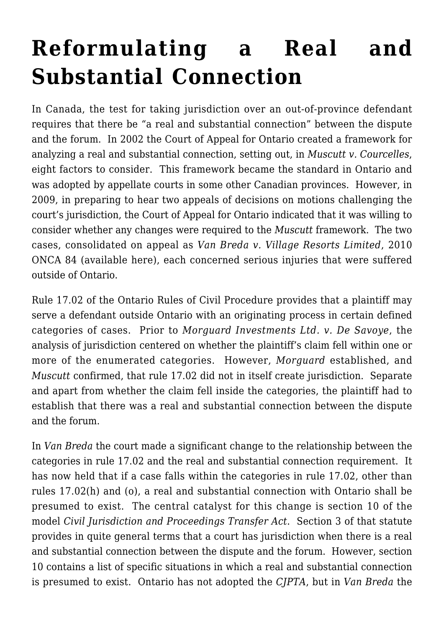## **[Reformulating a Real and](https://conflictoflaws.net/2010/reformulating-a-real-and-substantial-connection/) [Substantial Connection](https://conflictoflaws.net/2010/reformulating-a-real-and-substantial-connection/)**

In Canada, the test for taking jurisdiction over an out-of-province defendant requires that there be "a real and substantial connection" between the dispute and the forum. In 2002 the Court of Appeal for Ontario created a framework for analyzing a real and substantial connection, setting out, in *Muscutt v. Courcelles*, eight factors to consider. This framework became the standard in Ontario and was adopted by appellate courts in some other Canadian provinces. However, in 2009, in preparing to hear two appeals of decisions on motions challenging the court's jurisdiction, the Court of Appeal for Ontario indicated that it was willing to consider whether any changes were required to the *Muscutt* framework. The two cases, consolidated on appeal as *Van Breda v. Village Resorts Limited*, 2010 ONCA 84 (available [here](http://www.ontariocourts.on.ca/decisions/2010/february/2010ONCA0084.htm)), each concerned serious injuries that were suffered outside of Ontario.

Rule 17.02 of the Ontario Rules of Civil Procedure provides that a plaintiff may serve a defendant outside Ontario with an originating process in certain defined categories of cases. Prior to *Morguard Investments Ltd. v. De Savoye*, the analysis of jurisdiction centered on whether the plaintiff's claim fell within one or more of the enumerated categories. However, *Morguard* established, and *Muscutt* confirmed, that rule 17.02 did not in itself create jurisdiction. Separate and apart from whether the claim fell inside the categories, the plaintiff had to establish that there was a real and substantial connection between the dispute and the forum.

In *Van Breda* the court made a significant change to the relationship between the categories in rule 17.02 and the real and substantial connection requirement. It has now held that if a case falls within the categories in rule 17.02, other than rules 17.02(h) and (o), a real and substantial connection with Ontario shall be presumed to exist. The central catalyst for this change is section 10 of the model *Civil Jurisdiction and Proceedings Transfer Act*. Section 3 of that statute provides in quite general terms that a court has jurisdiction when there is a real and substantial connection between the dispute and the forum. However, section 10 contains a list of specific situations in which a real and substantial connection is presumed to exist. Ontario has not adopted the *CJPTA*, but in *Van Breda* the